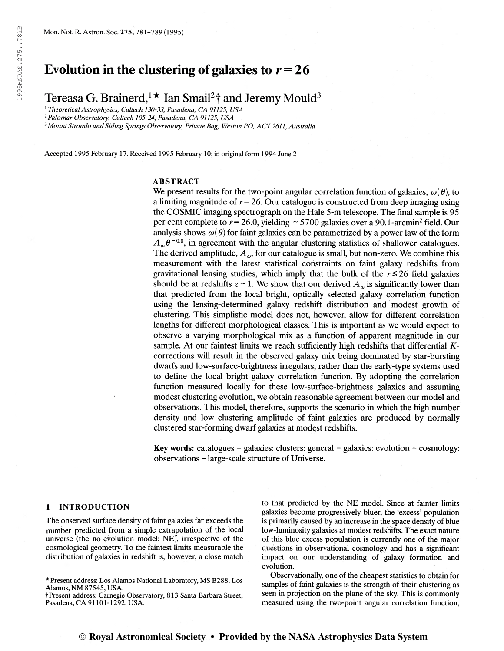# Evolution in the clustering of galaxies to  $r = 26$

Tereasa G. Brainerd,<sup>1</sup>  $\star$  Ian Smail<sup>2</sup>† and Jeremy Mould<sup>3</sup>

<sup>1</sup> Theoretical Astrophysics, Caltech 130-33, Pasadena, CA 91125, USA

<sup>2</sup>Palomar Observatory, Caltech 105-24, Pasadena, CA 91125, USA

<sup>3</sup> Mount Stromlo and Siding Springs Observatory, Private Bag, Weston PO, ACT 2611, Australia

Accepted 1995 February 17. Received 1995 February 10; in original form 1994 June 2

# ABSTRACT

We present results for the two-point angular correlation function of galaxies,  $\omega(\theta)$ , to a limiting magnitude of  $r = 26$ . Our catalogue is constructed from deep imaging using the COSMIC imaging spectrograph on the Hale 5-m telescope. The final sample is 95 per cent complete to  $r = 26.0$ , yielding  $\sim 5700$  galaxies over a 90.1-arcmin<sup>2</sup> field. Our analysis shows  $\omega(\theta)$  for faint galaxies can be parametrized by a power law of the form analysis shows  $\omega(\theta)$  for faint galaxies can be parametrized by a power law of the form  $A_{\omega}\theta^{-0.8}$ , in agreement with the angular clustering statistics of shallower catalogues. The derived amplitude,  $A_{\omega}$ , for our catalogue is small, but non-zero. We combine this measurement with the latest statistical constraints on faint galaxy redshifts from gravitational lensing studies, which imply that the bulk of the  $r \le 26$  field galaxies should be at redshifts  $z \sim 1$ . We show that our derived  $A_{\omega}$  is significantly lower than that predicted from the local bright, optically selected galaxy correlation function using the lensing-determined galaxy redshift distribution and modest growth of clustering. This simphstic model does not, however, allow for different correlation lengths for different morphological classes. This is important as we would expect to observe a varying morphological mix as a function of apparent magnitude in our sample. At our faintest limits we reach sufficiently high redshifts that differential  $K$ corrections will result in the observed galaxy mix being dominated by star-bursting dwarfs and low-surface-brightness irregulars, rather than the early-type systems used to define the local bright galaxy correlation function. By adopting the correlation function measured locally for these low-surface-brightness galaxies and assuming modest clustering evolution, we obtain reasonable agreement between our model and observations. This model, therefore, supports the scenario in which the high number density and low clustering amplitude of faint galaxies are produced by normally clustered star-forming dwarf galaxies at modest redshifts.

Key words: catalogues - galaxies: clusters: general - galaxies: evolution - cosmology: observations - large-scale structure of Universe.

#### <sup>1</sup> INTRODUCTION

The observed surface density of faint galaxies far exceeds the number predicted from a simple extrapolation of the local universe (the no-evolution model: NE), irrespective of the cosmological geometry. To the faintest limits measurable the distribution of galaxies in redshift is, however, a close match to that predicted by the NE model. Since at fainter limits galaxies become progressively bluer, the 'excess' population is primarily caused by an increase in the space density of blue low-luminosity galaxies at modest redshifts. The exact nature of this blue excess population is currently one of the major questions in observational cosmology and has a significant impact on our understanding of galaxy formation and evolution.

Observationally, one of the cheapest statistics to obtain for samples of faint galaxies is the strength of their clustering as seen in projection on the plane of the sky. This is commonly measured using the two-point angular correlation function,

<sup>\*</sup> Present address: Los Alamos National Laboratory, MS B288, Los Alamos, NM 87545, USA.

tPresent address: Carnegie Observatory, 813 Santa Barbara Street, Pasadena, CA 91101-1292, USA.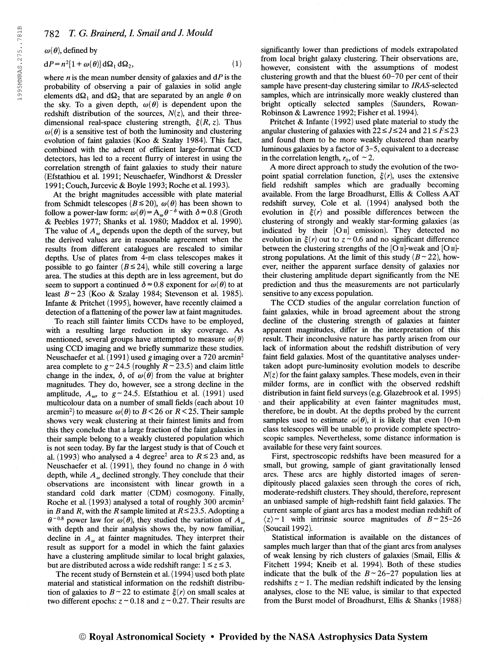$\omega(\theta)$ , defined by

$$
dP = n^2[1 + \omega(\theta)] d\Omega_1 d\Omega_2, \qquad (1)
$$

where  $n$  is the mean number density of galaxies and  $dP$  is the probability of observing a pair of galaxies in solid angle elements  $d\Omega_1$  and  $d\Omega_2$  that are separated by an angle  $\theta$  on the sky. To a given depth,  $\omega(\theta)$  is dependent upon the redshift distribution of the sources,  $N(z)$ , and their threedimensional real-space clustering strength,  $\xi(R, z)$ . Thus  $\omega(\theta)$  is a sensitive test of both the luminosity and clustering evolution of faint galaxies (Koo & Szalay 1984). This fact, combined with the advent of efficient large-format CCD detectors, has led to a recent flurry of interest in using the correlation strength of faint galaxies to study their nature (Efstathiou et al. 1991; Neuschaefer, Windhorst & Dressier 1991; Couch, Jurcevic & Boyle 1993; Roche et al. 1993).

At the bright magnitudes accessible with plate material from Schmidt telescopes ( $B \le 20$ ),  $\omega(\theta)$  has been shown to follow a power-law form:  $\omega(\theta) = A_{\omega}\theta^{-\delta}$  with  $\delta \approx 0.8$  (Groth & Peebles 1977; Shanks et al. 1980; Maddox et al. 1990). The value of  $A_{\omega}$  depends upon the depth of the survey, but the derived values are in reasonable agreement when the results from different catalogues are rescaled to similar depths. Use of plates from 4-m class telescopes makes it possible to go fainter ( $B \le 24$ ), while still covering a large area. The studies at this depth are in less agreement, but do seem to support a continued  $\delta \approx 0.8$  exponent for  $\omega(\theta)$  to at least  $B \sim 23$  (Koo & Szalay 1984; Stevenson et al. 1985). Infante & Pritchet (1995), however, have recently claimed a detection of a flattening of the power law at faint magnitudes.

To reach still fainter limits CCDs have to be employed, with a resulting large reduction in sky coverage. As mentioned, several groups have attempted to measure  $\omega(\theta)$ using CCD imaging and we briefly summarize these studies. Neuschaefer et al. (1991) used g imaging over a 720 arcmin<sup>2</sup> area complete to  $g \sim 24.5$  (roughly  $R \sim 23.5$ ) and claim little change in the index,  $\delta$ , of  $\omega(\theta)$  from the value at brighter magnitudes. They do, however, see a strong decline in the amplitude,  $A_{\omega}$ , to  $g \sim 24.5$ . Efstathiou et al. (1991) used multicolour data on a number of small fields (each about 10 arcmin<sup>2</sup>) to measure  $\omega(\theta)$  to  $B < 26$  or  $R < 25$ . Their sample shows very weak clustering at their faintest limits and from this they conclude that a large fraction of the faint galaxies in their sample belong to a weakly clustered population which is not seen today. By far the largest study is that of Couch et al. (1993) who analysed a 4 degree<sup>2</sup> area to  $R \le 23$  and, as Neuschaefer et al. (1991), they found no change in  $\delta$  with depth, while  $A_{\omega}$  declined strongly. They conclude that their observations are inconsistent with linear growth in a standard cold dark matter (CDM) cosmogony. Finally, Roche et al. (1993) analysed a total of roughly 300 arcmin<sup>2</sup> in B and R, with the R sample limited at  $R \le 23.5$ . Adopting a  $\theta^{-0.8}$  power law for  $\omega(\theta)$ , they studied the variation of  $A_{\omega}$ with depth and their analysis shows the, by now familiar, decline in  $A_{\omega}$  at fainter magnitudes. They interpret their result as support for a model in which the faint galaxies have a clustering amplitude similar to local bright galaxies, but are distributed across a wide redshift range:  $1 \le z \le 3$ .

The recent study of Bernstein et al. (1994) used both plate material and statistical information on the redshift distribution of galaxies to  $B \sim 22$  to estimate  $\xi(r)$  on small scales at two different epochs:  $z \sim 0.18$  and  $z \sim 0.27$ . Their results are significantly lower than predictions of models extrapolated from local bright galaxy clustering. Their observations are, however, consistent with the assumptions of modest clustering growth and that the bluest 60-70 per cent of their sample have present-day clustering similar to IRAS-selected samples, which are intrinsically more weakly clustered than bright optically selected samples (Saunders, Rowan-Robinson & Lawrence 1992; Fisher et al. 1994).

Pritchet & Infante (1992) used plate material to study the angular clustering of galaxies with  $22 \le J \le 24$  and  $21 \le F \le 23$ and found them to be more weakly clustered than nearby luminous galaxies by a factor of 3-5, equivalent to a decrease in the correlation length,  $r_0$ , of  $\sim$  2.

A more direct approach to study the evolution of the twopoint spatial correlation function,  $\xi(r)$ , uses the extensive field redshift samples which are gradually becoming available. From the large Broadhurst, Ellis & Colless AAT redshift survey, Cole et al. (1994) analysed both the evolution in  $\xi(r)$  and possible differences between the clustering of strongly and weakly star-forming galaxies (as indicated by their  $[O \, u]$  emission). They detected no evolution in  $\xi(r)$  out to  $z \sim 0.6$  and no significant difference between the clustering strengths of the [O n]-weak and [O njstrong populations. At the limit of this study  $(B \sim 22)$ , however, neither the apparent surface density of galaxies nor their clustering amplitude depart significantly from the NE prediction and thus the measurements are not particularly sensitive to any excess population.

The CCD studies of the angular correlation function of faint galaxies, while in broad agreement about the strong decline of the clustering strength of galaxies at fainter apparent magnitudes, differ in the interpretation of this result. Their inconclusive nature has partly arisen from our lack of information about the redshift distribution of very faint field galaxies. Most of the quantitative analyses undertaken adopt pure-luminosity evolution models to describe  $N(z)$  for the faint galaxy samples. These models, even in their milder forms, are in conflict with the observed redshift distribution in faint field surveys (e.g. Glazebrook et al. 1995) and their applicability at even fainter magnitudes must, therefore, be in doubt. At the depths probed by the current samples used to estimate  $\omega(\theta)$ , it is likely that even 10-m class telescopes will be unable to provide complete spectroscopic samples. Nevertheless, some distance information is available for these very faint sources.

First, spectroscopic redshifts have been measured for a small, but growing, sample of giant gravitationally lensed arcs. These arcs are highly distorted images of serendipitously placed galaxies seen through the cores of rich, moderate-redshift clusters. They should, therefore, represent an unbiased sample of high-redshift faint field galaxies. The current sample of giant arcs has a modest median redshift of  $\langle z \rangle$  ~ 1 with intrinsic source magnitudes of  $B \sim 25-26$ (Soucail 1992).

Statistical information is available on the distances of samples much larger than that of the giant arcs from analyses of weak lensing by rich clusters of galaxies (Smail, Ellis & Fitchett 1994; Kneib et al. 1994). Both of these studies indicate that the bulk of the  $B \sim 26-27$  population lies at redshifts  $z \sim 1$ . The median redshift indicated by the lensing analyses, close to the NE value, is similar to that expected from the Burst model of Broadhurst, Ellis & Shanks (1988)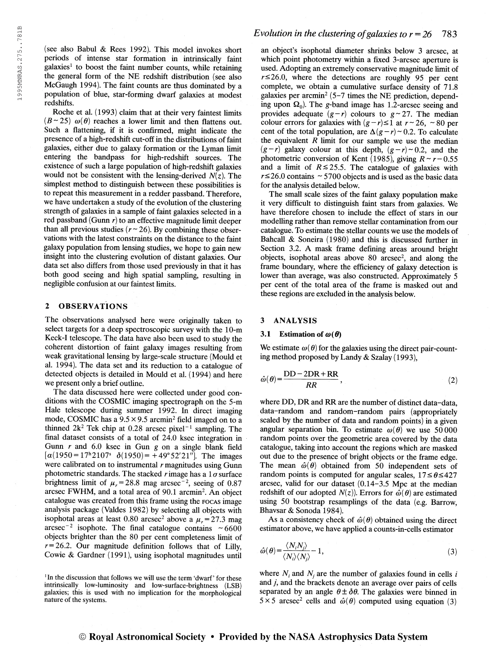(see also Babul & Rees 1992). This model invokes short periods of intense star formation in intrinsically faint galaxies<sup>1</sup> to boost the faint number counts, while retaining the general form of the NE redshift distribution (see also McGaugh 1994). The faint counts are thus dominated by a population of blue, star-forming dwarf galaxies at modest redshifts.

Roche et al. (1993) claim that at their very faintest limits  $(B \sim 25)$   $\omega(\theta)$  reaches a lower limit and then flattens out. Such a flattening, if it is confirmed, might indicate the presence of a high-redshift cut-off in the distributions of faint galaxies, either due to galaxy formation or the Lyman limit entering the bandpass for high-redshift sources. The existence of such a large population of high-redshift galaxies would not be consistent with the lensing-derived  $N(z)$ . The simplest method to distinguish between these possibilities is to repeat this measurement in a redder passband. Therefore, we have undertaken a study of the evolution of the clustering strength of galaxies in a sample of faint galaxies selected in a red passband (Gunn  $r$ ) to an effective magnitude limit deeper than all previous studies  $(r \sim 26)$ . By combining these observations with the latest constraints on the distance to the faint galaxy population from lensing studies, we hope to gain new insight into the clustering evolution of distant galaxies. Our data set also differs from those used previously in that it has both good seeing and high spatial sampling, resulting in negligible confusion at our faintest limits.

## 2 OBSERVATIONS

The observations analysed here were originally taken to select targets for a deep spectroscopic survey with the 10-m Keck-I telescope. The data have also been used to study the coherent distortion of faint galaxy images resulting from weak gravitational lensing by large-scale structure (Mould et al. 1994). The data set and its reduction to a catalogue of detected objects is detailed in Mould et al. (1994) and here we present only a brief outline.

The data discussed here were collected under good conditions with the COSMIC imaging spectrograph on the 5-m Hale telescope during summer 1992. In direct imaging mode, COSMIC has a  $9.5 \times 9.5$  arcmin<sup>2</sup> field imaged on to a mode, COSMIC has a 9.5  $\times$  9.5 arcmin<sup>2</sup> field imaged on to a thinned 2k<sup>2</sup> Tek chip at 0.28 arcsec pixel<sup>-1</sup> sampling. The final dataset consists of a total of 24.0 ksec integration in Gunn  $r$  and 6.0 ksec in Gun  $g$  on a single blank field  $\alpha(1950=17^{h}2107^{s} \ \delta(1950)=+49^{s}52'21'']$ . The images were calibrated on to instrumental  $r$  magnitudes using Gunn photometric standards. The stacked rimage has a  $1\sigma$  surface photometric standards. The stacked r image has a 1 *o* surface<br>brightness limit of  $\mu_r = 28.8$  mag arcsec<sup>-2</sup>, seeing of 0.87 arcsec FWHM, and a total area of 90.1 arcmin<sup>2</sup> . An object catalogue was created from this frame using the focas image analysis package (Valdes 1982) by selecting all objects with isophotal areas at least 0.80 arcsec<sup>2</sup> above a  $\mu_r = 27.3$  mag isophotal areas at least 0.80 arcsec<sup>2</sup> above a  $\mu_r = 27.3$  mag<br>arcsec<sup>-2</sup> isophote. The final catalogue contains ~6600 objects brighter than the 80 per cent completeness limit of  $r=26.2$ . Our magnitude definition follows that of Lilly, Cowie & Gardner (1991), using isophotal magnitudes until

## Evolution in the clustering of galaxies to  $r = 26$  783

an object's isophotal diameter shrinks below 3 arcsec, at which point photometry within a fixed 3-arcsec aperture is used. Adopting an extremely conservative magnitude limit of  $r \le 26.0$ , where the detections are roughly 95 per cent complete, we obtain a cumulative surface density of 71.8 galaxies per arcmin<sup>2</sup> (5-7 times the NE prediction, depending upon  $\Omega_0$ ). The g-band image has 1.2-arcsec seeing and provides adequate  $(g-r)$  colours to  $g \sim 27$ . The median colour errors for galaxies with  $(g-r)\leq 1$  at  $r \sim 26$ , ~80 per cent of the total population, are  $\Delta(g-r) \sim 0.2$ . To calculate the equivalent  $R$  limit for our sample we use the median  $(g-r)$  galaxy colour at this depth,  $(g-r) \sim 0.2$ , and the photometric conversion of Kent (1985), giving  $R \sim r - 0.55$ and a limit of  $R \le 25.5$ . The catalogue of galaxies with  $r \le 26.0$  contains  $\sim 5700$  objects and is used as the basic data for the analysis detailed below.

The small scale sizes of the faint galaxy population make it very difficult to distinguish faint stars from galaxies. We have therefore chosen to include the effect of stars in our modelling rather than remove stellar contamination from our catalogue. To estimate the stellar counts we use the models of Bahcall & Soneira (1980) and this is discussed further in Section 3.2. A mask frame defining areas around bright objects, isophotal areas above  $80$  arcsec<sup>2</sup>, and along the frame boundary, where the efficiency of galaxy detection is lower than average, was also constructed. Approximately 5 per cent of the total area of the frame is masked out and these regions are excluded in the analysis below.

#### 3 ANALYSIS

#### 3.1 Estimation of  $\omega(\theta)$

We estimate  $\omega(\theta)$  for the galaxies using the direct pair-counting method proposed by Landy & Szalay (1993),

$$
\hat{\omega}(\theta) = \frac{DD - 2DR + RR}{RR},\tag{2}
$$

where DD, DR and RR are the number of distinct data-data, data-random and random-random pairs (appropriately scaled by the number of data and random points) in a given angular separation bin. To estimate  $\omega(\theta)$  we use 50 000 random points over the geometric area covered by the data catalogue, taking into account the regions which are masked out due to the presence of bright objects or the frame edge. The mean  $\hat{\omega}(\theta)$  obtained from 50 independent sets of random points is computed for angular scales,  $17 \le \theta \le 427$ arcsec, valid for our dataset (0.14-3.5 Mpc at the median redshift of our adopted  $N(z)$ ). Errors for  $\hat{\omega}(\theta)$  are estimated using 50 bootstrap resamplings of the data (e.g. Barrow, Bhavsar & Sonoda 1984).

As a consistency check of  $\hat{\omega}(\theta)$  obtained using the direct estimator above, we have applied a counts-in-cells estimator

$$
\hat{\omega}(\theta) = \frac{\langle N_i N_j \rangle}{\langle N_i \rangle \langle N_j \rangle} - 1,\tag{3}
$$

where  $N_i$  and  $N_j$  are the number of galaxies found in cells i and j, and the brackets denote an average over pairs of cells separated by an angle  $\theta \pm \delta \theta$ . The galaxies were binned in  $5 \times 5$  arcsec<sup>2</sup> cells and  $\hat{\omega}(\theta)$  computed using equation (3)

<sup>&</sup>lt;sup>1</sup>In the discussion that follows we will use the term 'dwarf' for these intrinsically low-luminosity and low-surface-brightness (LSB) galaxies; this is used with no implication for the morphological nature of the systems.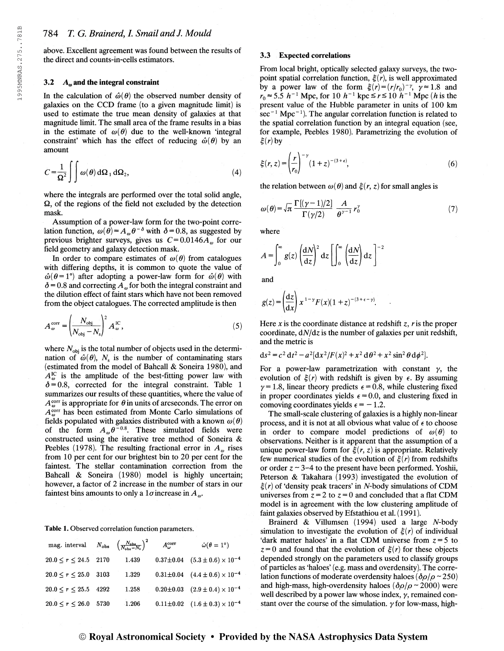above. Excellent agreement was found between the results of the direct and counts-in-cells estimators.

#### 3.2  $A<sub>o</sub>$  and the integral constraint

In the calculation of  $\hat{\omega}(\theta)$  the observed number density of galaxies on the CCD frame (to a given magnitude limit) is used to estimate the true mean density of galaxies at that magnitude limit. The small area of the frame results in a bias in the estimate of  $\omega(\theta)$  due to the well-known 'integral constraint' which has the effect of reducing  $\hat{\omega}(\theta)$  by an amount

$$
C = \frac{1}{\Omega^2} \int \int \omega(\theta) d\Omega_1 d\Omega_2, \tag{4}
$$

where the integrals are performed over the total solid angle,  $\Omega$ , of the regions of the field not excluded by the detection mask.

Assumption of a power-law form for the two-point correlation function,  $\omega(\hat{\theta}) = A_{\omega}\theta^{-\delta}$  with  $\delta = 0.8$ , as suggested by previous brighter surveys, gives us  $C=0.0146A_{\omega}$  for our field geometry and galaxy detection mask.

In order to compare estimates of  $\omega(\theta)$  from catalogues with differing depths, it is common to quote the value of  $\hat{\omega}(\theta=1^{\circ})$  after adopting a power-law form for  $\hat{\omega}(\theta)$  with  $\delta$  = 0.8 and correcting  $A_{\omega}$  for both the integral constraint and the dilution effect of faint stars which have not been removed from the object catalogues. The corrected amplitude is then

$$
A_{\omega}^{\text{corr}} = \left(\frac{N_{\text{obj}}}{N_{\text{obj}} - N_{\text{s}}}\right)^2 A_{\omega}^{\text{IC}},
$$
\n(5)

where  $N_{\text{obj}}$  is the total number of objects used in the determination of  $\hat{\omega}(\theta)$ ,  $N_s$  is the number of contaminating stars (estimated from the model of Bahcall & Soneira 1980), and  $A^{\text{IC}}_{\omega}$  is the amplitude of the best-fitting power law with  $\delta = 0.8$ , corrected for the integral constraint. Table 1 summarizes our results of these quantities, where the value of  $A^{\text{corr}}_{\omega}$  is appropriate for  $\theta$  in units of arcseconds. The error on  $A_{\omega}^{\text{corr}}$  has been estimated from Monte Carlo simulations of fields populated with galaxies distributed with a known  $\omega(\theta)$ of the form  $A_{\omega} \theta^{-0.8}$ . These simulated fields were constructed using the iterative tree method of Soneira & Peebles (1978). The resulting fractional error in  $A_{\omega}$  rises from 10 per cent for our brightest bin to 20 per cent for the faintest. The stellar contamination correction from the Bahcall & Soneira (1980) model is highly uncertain; however, a factor of 2 increase in the number of stars in our faintest bins amounts to only a 1 $\sigma$  increase in  $A_{\omega}$ .

Table 1. Observed correlation function parameters,

| mag. interval $N_{\text{obs}} \left(\frac{N_{\text{obs}}}{N_{\text{obs}}-N_{\text{s}}}\right)^2$ |      |       | $A_{\omega}^{\rm corr}$ | $\hat{\omega}(\theta = 1^{\circ})$             |
|--------------------------------------------------------------------------------------------------|------|-------|-------------------------|------------------------------------------------|
| $20.0 \le r \le 24.5$ 2170                                                                       |      | 1.439 |                         | $0.37\pm0.04$ $(5.3\pm0.6)\times10^{-4}$       |
| $20.0 \leq r \leq 25.0$                                                                          | 3103 | 1.329 |                         | $0.31 \pm 0.04$ $(4.4 \pm 0.6) \times 10^{-4}$ |
| $20.0 \le r \le 25.5$                                                                            | 4292 | 1.258 |                         | $0.20 \pm 0.03$ $(2.9 \pm 0.4) \times 10^{-4}$ |
| $20.0 \le r \le 26.0$                                                                            | 5730 | 1.206 |                         | $0.11\pm0.02$ $(1.6\pm0.3)\times10^{-4}$       |

#### 3.3 Expected correlations

From local bright, optically selected galaxy surveys, the twopoint spatial correlation function,  $\xi(r)$ , is well approximated by a power law of the form  $\xi(r) = (r/r_0)^{-\gamma}, \gamma \approx 1.8$  and  $r_0 \approx 5.5 h^{-1}$  Mpc, for 10  $h^{-1}$  kpc  $\le r \le 10 h^{-1}$  Mpc (*h* is the present value of the Hubble parameter in units of 100 km present value of the Hubble parameter in units of 100 km<br>sec<sup>-1</sup> Mpc<sup>-1</sup>). The angular correlation function is related to the spatial correlation function by an integral equation (see, for example, Peebles 1980). Parametrizing the evolution of  $\xi(r)$  by

$$
\xi(r,z) = \left(\frac{r}{r_0}\right)^{-\gamma} (1+z)^{-(3+\epsilon)},
$$
\n(6)

the relation between  $\omega(\theta)$  and  $\xi(r, z)$  for small angles is

$$
\omega(\theta) = \sqrt{\pi} \frac{\Gamma[(\gamma - 1)/2]}{\Gamma(\gamma/2)} \frac{A}{\theta^{\gamma - 1}} r_0^{\gamma}
$$
 (7)

where

$$
A = \int_0^\infty g(z) \left(\frac{dN}{dz}\right)^2 dz \left[\int_0^\infty \left(\frac{dN}{dz}\right) dz\right]^{-2}
$$

and

$$
g(z) = \left(\frac{\mathrm{d}z}{\mathrm{d}x}\right) x^{1-\gamma} F(x) (1+z)^{-(3+\epsilon-\gamma)}.
$$

Here x is the coordinate distance at redshift z, r is the proper coordinate,  $dN/dz$  is the number of galaxies per unit redshift, and the metric is

$$
ds^{2} = c^{2} dt^{2} - a^{2} [dx^{2}/F(x)^{2} + x^{2} d\theta^{2} + x^{2} sin^{2} \theta d\phi^{2}].
$$

For a power-law parametrization with constant  $\gamma$ , the evolution of  $\xi(r)$  with redshift is given by  $\epsilon$ . By assuming  $\gamma$  = 1.8, linear theory predicts  $\epsilon$  = 0.8, while clustering fixed in proper coordinates yields  $\epsilon = 0.0$ , and clustering fixed in comoving coordinates yields  $\epsilon = -1.2$ .

The small-scale clustering of galaxies is a highly non-linear process, and it is not at all obvious what value of  $\epsilon$  to choose in order to compare model predictions of  $\omega(\theta)$  to observations. Neither is it apparent that the assumption of a unique power-law form for  $\xi(r, z)$  is appropriate. Relatively few numerical studies of the evolution of  $\xi(r)$  from redshifts or order  $z \sim 3-4$  to the present have been performed. Yoshii, Peterson & Takahara (1993) investigated the evolution of  $\xi(r)$  of 'density peak tracers' in N-body simulations of CDM universes from  $z = 2$  to  $z = 0$  and concluded that a flat CDM model is in agreement with the low clustering amplitude of faint galaxies observed by Efstathiou et al. (1991).

Brainerd & Villumsen  $(1994)$  used a large N-body simulation to investigate the evolution of  $\xi(r)$  of individual 'dark matter haloes' in a flat CDM universe from  $z = 5$  to  $z=0$  and found that the evolution of  $\xi(r)$  for these objects depended strongly on the parameters used to classify groups of particles as 'haloes' (e.g. mass and overdensity). The correlation functions of moderate overdensity haloes ( $\delta \rho / \rho \sim 250$ ) and high-mass, high-overdensity haloes ( $\delta\rho/\rho \sim 2000$ ) were well described by a power law whose index,  $\gamma$ , remained constant over the course of the simulation,  $\gamma$  for low-mass, high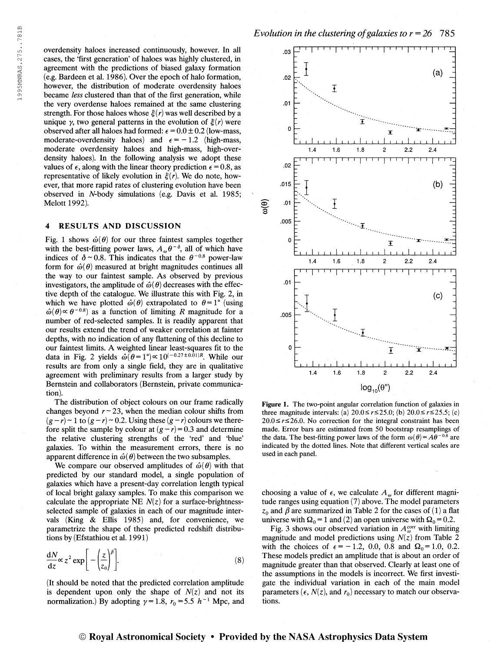overdensity haloes increased continuously, however. In all cases, the 'first generation' of haloes was highly clustered, in agreement with the predictions of biased galaxy formation (e.g. Bardeen et al. 1986). Over the epoch of halo formation, however, the distribution of moderate overdensity haloes became less clustered than that of the first generation, while the very overdense haloes remained at the same clustering strength. For those haloes whose  $\xi(r)$  was well described by a unique  $\gamma$ , two general patterns in the evolution of  $\xi(r)$  were observed after all haloes had formed:  $\epsilon = 0.0 \pm 0.2$  (low-mass, moderate-overdensity haloes) and  $\epsilon = -1.2$  (high-mass, moderate overdensity haloes and high-mass, high-overdensity haloes). In the following analysis we adopt these values of  $\epsilon$ , along with the linear theory prediction  $\epsilon = 0.8$ , as representative of likely evolution in  $\xi(r)$ . We do note, however, that more rapid rates of clustering evolution have been observed in N-body simulations (e.g. Davis et al. 1985; Melott 1992).

#### 4 RESULTS AND DISCUSSION

Fig. 1 shows  $\hat{\omega}(\theta)$  for our three faintest samples together with the best-fitting power laws,  $A_{\omega} \theta^{-\delta}$ , all of which have with the best-fitting power laws,  $A_{\omega} \theta^{-0}$ , all of which have indices of  $\delta \sim 0.8$ . This indicates that the  $\theta^{-0.8}$  power-law form for  $\hat{\omega}(\theta)$  measured at bright magnitudes continues all the way to our faintest sample. As observed by previous investigators, the amplitude of  $\hat{\omega}(\theta)$  decreases with the effective depth of the catalogue. We illustrate this with Fig. 2, in which we have plotted  $\hat{\omega}(\theta)$  extrapolated to  $\theta = 1^{\circ}$  (using which we have plotted  $\omega(\theta)$  extrapolated to  $\theta = 1^{\circ}$  (using  $\hat{\omega}(\theta) \propto \theta^{-0.8}$ ) as a function of limiting R magnitude for a number of red-selected samples. It is readily apparent that our results extend the trend of weaker correlation at fainter depths, with no indication of any flattening of this decline to our faintest limits. A weighted linear least-squares fit to the data in Fig. 2 yields  $\hat{\omega}(\theta=1^\circ) \propto 10^{(-0.27\pm0.01)R}$ . While our results are from only a single field, they are in qualitative agreement with preliminary results from a larger study by Bernstein and collaborators (Bernstein, private communication).

The distribution of object colours on our frame radically changes beyond  $r \sim 23$ , when the median colour shifts from  $(g - r) \sim 1$  to  $(g - r) \sim 0.2$ . Using these  $(g - r)$  colours we therefore split the sample by colour at  $(g-r)=0.3$  and determine the relative clustering strengths of the 'red' and 'blue' galaxies. To within the measurement errors, there is no apparent difference in  $\hat{\omega}(\theta)$  between the two subsamples.

We compare our observed amplitudes of  $\hat{\omega}(\theta)$  with that predicted by our standard model, a single population of galaxies which have a present-day correlation length typical of local bright galaxy samples. To make this comparison we calculate the appropriate NE  $N(z)$  for a surface-brightnessselected sample of galaxies in each of our magnitude intervals (King & Ellis 1985) and, for convenience, we parametrize the shape of these predicted redshift distributions by (Efstathiou et al. 1991 )

$$
\frac{dN}{dz}\alpha z^2 \exp\bigg[-\bigg(\frac{z}{z_0}\bigg)^{\beta}\bigg].
$$
\n(8)

(It should be noted that the predicted correlation amplitude is dependent upon only the shape of  $N(z)$  and not its normalization.) By adopting  $\gamma = 1.8$ ,  $r_0 = 5.5$  h<sup>-1</sup> Mpc, and



Figure 1. The two-point angular correlation function of galaxies in three magnitude intervals: (a)  $20.0 \le r \le 25.0$ ; (b)  $20.0 \le r \le 25.5$ ; (c)  $20.0 \le r \le 26.0$ . No correction for the integral constraint has been made. Error bars are estimated from 50 bootstrap resamplings of made. Error bars are estimated from 50 bootstrap resamplings of the data. The best-fitting power laws of the form  $\omega(\theta) = A\theta^{-0.8}$  are indicated by the dotted lines. Note that different vertical scales are used in each panel.

choosing a value of  $\epsilon$ , we calculate  $A_{\omega}$  for different magnitude ranges using equation (7) above. The model parameters  $z_0$  and  $\beta$  are summarized in Table 2 for the cases of (1) a flat universe with  $\Omega_0 = 1$  and (2) an open universe with  $\Omega_0 = 0.2$ .

Fig. 3 shows our observed variation in  $A_{\omega}^{\text{corr}}$  with limiting magnitude and model predictions using  $N(z)$  from Table 2 with the choices of  $\epsilon = -1.2$ , 0.0, 0.8 and  $\Omega_0 = 1.0$ , 0.2. These models predict an amplitude that is about an order of magnitude greater than that observed. Clearly at least one of the assumptions in the models is incorrect. We first investigate the individual variation in each of the main model parameters ( $\epsilon$ ,  $N(z)$ , and  $r_0$ ) necessary to match our observations.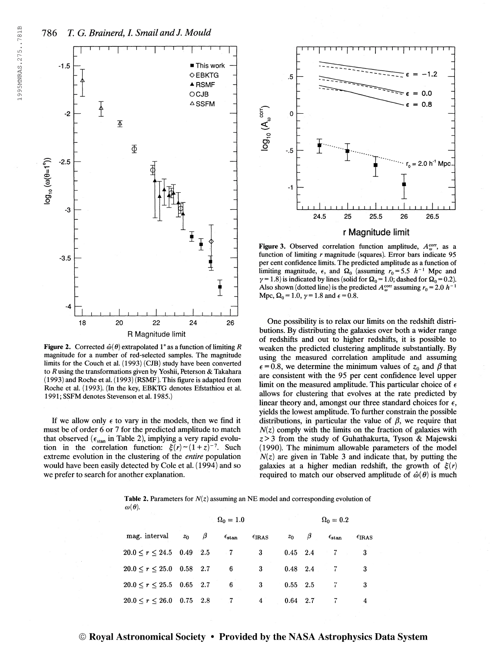

Figure 2. Corrected  $\hat{\omega}(\theta)$  extrapolated 1° as a function of limiting R magnitude for a number of red-selected samples. The magnitude limits for the Couch et al. (1993) (CJB) study have been converted to R using the transformations given by Yoshii, Peterson & Takahara (1993) and Roche et al. (1993) (RSMF). This figure is adapted from Roche et al. (1993). (In the key, EBKTG denotes Efstathiou et al. 1991; SSFM denotes Stevenson et al. 1985.)

If we allow only  $\epsilon$  to vary in the models, then we find it must be of order 6 or 7 for the predicted amplitude to match that observed ( $\epsilon_{\text{stan}}$  in Table 2), implying a very rapid evoluthat observed ( $\epsilon_{\text{stan}}$  in Table 2), implying a very rapid evolution in the correlation function:  $\xi(r) \sim (1+z)^{-7}$ . Such extreme evolution in the clustering of the entire population would have been easily detected by Cole et al. (1994) and so we prefer to search for another explanation.



Figure 3. Observed correlation function amplitude,  $A_{\omega}^{\text{corr}}$ , as a function of limiting  $r$  magnitude (squares). Error bars indicate 95 per cent confidence limits. The predicted amplitude as a function of limiting magnitude,  $\epsilon$ , and  $\Omega_0$  (assuming  $r_0 = 5.5$  h<sup>-1</sup> Mpc and  $\gamma = 1.8$ ) is indicated by lines (solid for  $\Omega_0 = 1.0$ ; dashed for  $\Omega_0 = 0.2$ ). Also shown (dotted line) is the predicted  $A_{\omega}^{\text{corr}}$  assuming  $r_0 = 2.0 h^{-1}$ Mpc,  $\Omega_0 = 1.0$ ,  $\gamma = 1.8$  and  $\epsilon = 0.8$ .

One possibility is to relax our limits on the redshift distributions. By distributing the galaxies over both a wider range of redshifts and out to higher redshifts, it is possible to weaken the predicted clustering amplitude substantially. By using the measured correlation amplitude and assuming  $\epsilon$  = 0.8, we determine the minimum values of  $z_0$  and  $\beta$  that are consistent with the 95 per cent confidence level upper limit on the measured amplitude. This particular choice of  $\epsilon$ allows for clustering that evolves at the rate predicted by linear theory and, amongst our three standard choices for  $\epsilon$ , yields the lowest ampütude. To further constrain the possible distributions, in particular the value of  $\beta$ , we require that  $N(z)$  comply with the limits on the fraction of galaxies with  $z > 3$  from the study of Guhathakurta, Tyson & Majewski (1990). The minimum allowable parameters of the model  $N(z)$  are given in Table 3 and indicate that, by putting the galaxies at a higher median redshift, the growth of  $\xi(r)$ required to match our observed amplitude of  $\hat{\omega}(\theta)$  is much

**Table 2.** Parameters for  $N(z)$  assuming an NE model and corresponding evolution of  $\omega(\theta)$ .

|                                            |       | $\Omega_0 = 1.0$ |                            |                 | $\Omega_0=0.2$ |                  |                       |                 |
|--------------------------------------------|-------|------------------|----------------------------|-----------------|----------------|------------------|-----------------------|-----------------|
| mag. interval                              | $z_0$ | β                | $\epsilon_{\rm stan}$      | $\epsilon$ IRAS |                | $z_0$ $\beta$    | $\epsilon_{\rm stan}$ | $\epsilon$ IRAS |
| $20.0 \le r \le 24.5$ 0.49 2.5             |       |                  | $\overline{\phantom{a}}$ 7 | 3               |                | $0.45 \quad 2.4$ | $-7$                  | 3               |
| $20.0 \le r \le 25.0$ 0.58 2.7             |       |                  | 6                          | $3 -$           |                | $0.48$ 2.4 7     |                       | 3               |
| $20.0 \le r \le 25.5$ 0.65 2.7             |       |                  | $-6$                       | 3               | $0.55 - 2.5$   |                  | $\frac{7}{1}$         | 3               |
| $20.0 \le r \le 26.0 \quad 0.75 \quad 2.8$ |       |                  | $\sim 7$                   | $\overline{4}$  | $0.64$ 2.7     |                  | 7                     | 4               |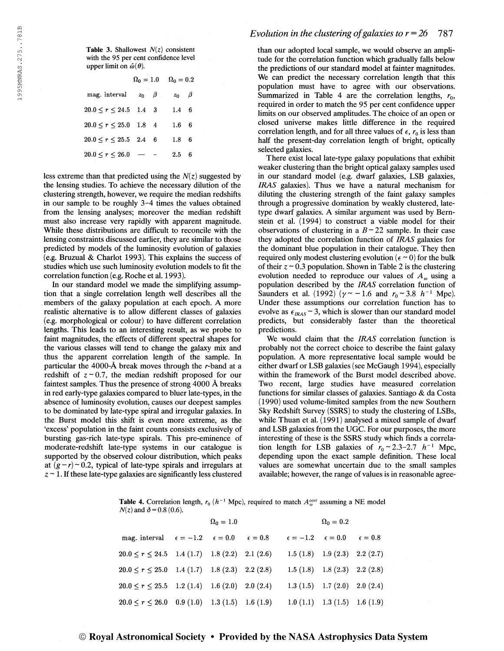Table 3. Shallowest  $N(z)$  consistent with the 95 per cent confidence level upper limit on  $\hat{\omega}(\theta)$ .

|                             | $\Omega_0=1.0$ | $\Omega_0=0.2$ |  |  |
|-----------------------------|----------------|----------------|--|--|
| mag. interval $z_0$ $\beta$ |                | $z_0$ $\beta$  |  |  |
| $20.0 \le r \le 24.5$ 1.4 3 |                | $1.4\quad 6$   |  |  |
| $20.0 \le r \le 25.0$ 1.8 4 |                | $1.6\quad 6$   |  |  |
| $20.0 \le r \le 25.5$ 2.4 6 |                | $1.8\quad 6$   |  |  |
| $20.0 \leq r \leq 26.0$     |                | $2.5\,$        |  |  |

less extreme than that predicted using the  $N(z)$  suggested by the lensing studies. To achieve the necessary dilution of the clustering strength, however, we require the median redshifts in our sample to be roughly 3-4 times the values obtained from the lensing analyses; moreover the median redshift must also increase very rapidly with apparent magnitude. While these distributions are difficult to reconcile with the lensing constraints discussed earlier, they are similar to those predicted by models of the luminosity evolution of galaxies (e.g. Bruzual & Chariot 1993). This explains the success of studies which use such luminosity evolution models to fit the correlation function (e.g. Roche et al. 1993).

In our standard model we made the simplifying assumption that a single correlation length well describes all the members of the galaxy population at each epoch. A more realistic alternative is to allow different classes of galaxies (e.g. morphological or colour) to have different correlation lengths. This leads to an interesting result, as we probe to faint magnitudes, the effects of different spectral shapes for the various classes will tend to change the galaxy mix and thus the apparent correlation length of the sample. In particular the 4000-À break moves through the r-band at a redshift of  $z \sim 0.7$ , the median redshift proposed for our faintest samples. Thus the presence of strong 4000 À breaks in red early-type galaxies compared to bluer late-types, in the absence of luminosity evolution, causes our deepest samples to be dominated by late-type spiral and irregular galaxies. In the Burst model this shift is even more extreme, as the 'excess' population in the faint counts consists exclusively of bursting gas-rich late-type spirals. This pre-eminence of moderate-redshift late-type systems in our catalogue is supported by the observed colour distribution, which peaks at  $(g-r) \sim 0.2$ , typical of late-type spirals and irregulars at  $z \sim 1$ . If these late-type galaxies are significantly less clustered

# Evolution in the clustering of galaxies to  $r = 26$  787

than our adopted local sample, we would observe an amplitude for the correlation function which gradually falls below the predictions of our standard model at fainter magnitudes. We can predict the necessary correlation length that this population must have to agree with our observations. Summarized in Table 4 are the correlation lengths,  $r_0$ , required in order to match the 95 per cent confidence upper limits on our observed amplitudes. The choice of an open or closed universe makes little difference in the required correlation length, and for all three values of  $\epsilon$ ,  $r_0$  is less than half the present-day correlation length of bright, optically selected galaxies.

There exist local late-type galaxy populations that exhibit weaker clustering than the bright optical galaxy samples used in our standard model (e.g. dwarf galaxies, LSB galaxies, IRAS galaxies). Thus we have a natural mechanism for diluting the clustering strength of the faint galaxy samples through a progressive domination by weakly clustered, latetype dwarf galaxies. A similar argument was used by Bernstein et al. (1994) to construct a viable model for their observations of clustering in a  $B \sim 22$  sample. In their case they adopted the correlation function of IRAS galaxies for the dominant blue population in their catalogue. They then required only modest clustering evolution ( $\epsilon \sim 0$ ) for the bulk of their  $z \sim 0.3$  population. Shown in Table 2 is the clustering evolution needed to reproduce our values of  $A_{\omega}$  using a population described by the IRAS correlation function of Saunders et al. (1992) ( $\gamma \sim -1.6$  and  $r_0 \sim 3.8$  h<sup>-1</sup> Mpc). Under these assumptions our correlation function has to evolve as  $\epsilon_{IRAS} \sim 3$ , which is slower than our standard model predicts, but considerably faster than the theoretical predictions.

We would claim that the IRAS correlation function is probably not the correct choice to describe the faint galaxy population. A more representative local sample would be either dwarf or LSB galaxies (see McGaugh 1994), especially within the framework of the Burst model described above. Two recent, large studies have measured correlation functions for similar classes of galaxies. Santiago & da Costa (1990) used volume-limited samples from the new Southern Sky Redshift Survey (SSRS) to study the clustering of LSBs, while Thuan et al. (1991) analysed a mixed sample of dwarf and LSB galaxies from the UGC. For our purposes, the more interesting of these is the SSRS study which finds a correlation length for LSB galaxies of  $r_0 \approx 2.3-2.7$   $h^{-1}$  Mpc, depending upon the exact sample definition. These local values are somewhat uncertain due to the small samples available; however, the range of values is in reasonable agree-

**Table 4.** Correlation length,  $r_0$  ( $h^{-1}$  Mpc), required to match  $A_w^{\text{corr}}$  assuming a NE model  $N(z)$  and  $\delta = 0.8$  (0.6).

|                                                                   | $\Omega_0 = 1.0$ |  | $\Omega_0 = 0.2$                                            |  |
|-------------------------------------------------------------------|------------------|--|-------------------------------------------------------------|--|
| mag. interval $\epsilon = -1.2$ $\epsilon = 0.0$ $\epsilon = 0.8$ |                  |  | $\epsilon = -1.2 \quad \epsilon = 0.0 \quad \epsilon = 0.8$ |  |
| $20.0 \le r \le 24.5$ 1.4 (1.7) 1.8 (2.2) 2.1 (2.6)               |                  |  | 1.5 (1.8) 1.9 (2.3) 2.2 (2.7)                               |  |
| $20.0 \le r \le 25.0$ 1.4 (1.7) 1.8 (2.3) 2.2 (2.8)               |                  |  | $1.5(1.8)$ $1.8(2.3)$ $2.2(2.8)$                            |  |
| $20.0 \le r \le 25.5$ 1.2 (1.4) 1.6 (2.0) 2.0 (2.4)               |                  |  | 1.3 (1.5) 1.7 (2.0) 2.0 (2.4)                               |  |
| $20.0 \le r \le 26.0$ 0.9 (1.0) 1.3 (1.5) 1.6 (1.9)               |                  |  | $1.0(1.1)$ $1.3(1.5)$ $1.6(1.9)$                            |  |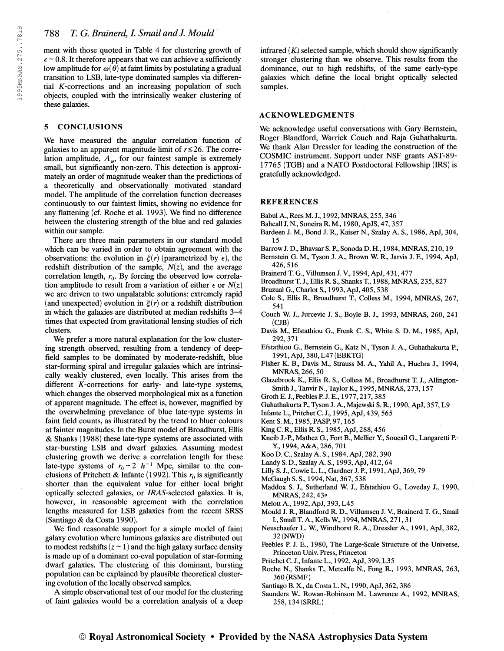ment with those quoted in Table 4 for clustering growth of  $\epsilon \sim 0.8$ . It therefore appears that we can achieve a sufficiently low amplitude for  $\omega(\theta)$  at faint limits by postulating a gradual transition to LSB, late-type dominated samples via differential  $K$ -corrections and an increasing population of such objects, coupled with the intrinsically weaker clustering of these galaxies.

# 5 CONCLUSIONS

We have measured the angular correlation function of galaxies to an apparent magnitude limit of  $r \le 26$ . The correlation amplitude,  $A_{\omega}$ , for our faintest sample is extremely small, but significantly non-zero. This detection is approximately an order of magnitude weaker than the predictions of a theoretically and observationally motivated standard model. The amplitude of the correlation function decreases continuously to our faintest limits, showing no evidence for any flattening (cf. Roche et al. 1993). We find no difference between the clustering strength of the blue and red galaxies within our sample.

There are three main parameters in our standard model which can be varied in order to obtain agreement with the observations: the evolution in  $\xi(r)$  (parametrized by  $\epsilon$ ), the redshift distribution of the sample,  $N(z)$ , and the average correlation length,  $r_0$ . By forcing the observed low correlation amplitude to result from a variation of either  $\epsilon$  or  $N(z)$ we are driven to two unpalatable solutions: extremely rapid (and unexpected) evolution in  $\xi(r)$  or a redshift distribution in which the galaxies are distributed at median redshifts 3-4 times that expected from gravitational lensing studies of rich clusters.

We prefer a more natural explanation for the low clustering strength observed, resulting from a tendency of deepfield samples to be dominated by moderate-redshift, blue star-forming spiral and irregular galaxies which are intrinsically weakly clustered, even locally. This arises from the different  $K$ -corrections for early- and late-type systems, which changes the observed morphological mix as a function of apparent magnitude. The effect is, however, magnified by the overwhelming prevelance of blue late-type systems in faint field counts, as illustrated by the trend to bluer colours at fainter magnitudes. In the Burst model of Broadhurst, Ellis 6 Shanks (1988) these late-type systems are associated with star-bursting LSB and dwarf galaxies. Assuming modest clustering growth we derive a correlation length for these late-type systems of  $r_0 \sim 2 h^{-1}$  Mpc, similar to the conclusions of Pritchett & Infante (1992). This  $r_0$  is significantly shorter than the equivalent value for either local bright optically selected galaxies, or *IRAS*-selected galaxies. It is, however, in reasonable agreement with the correlation lengths measured for LSB galaxies from the recent SRSS (Santiago & da Costa 1990).

We find reasonable support for a simple model of faint galaxy evolution where luminous galaxies are distributed out to modest redshifts  $(z \sim 1)$  and the high galaxy surface density is made up of a dominant co-eval population of star-forming dwarf galaxies. The clustering of this dominant, bursting population can be explained by plausible theoretical clustering evolution of the locally observed samples.

A simple observational test of our model for the clustering of faint galaxies would be a correlation analysis of a deep infrared  $(K)$  selected sample, which should show significantly stronger clustering than we observe. This results from the dominance, out to high redshifts, of the same early-type galaxies which define the local bright optically selected samples.

### ACKNOWLEDGMENTS

We acknowledge useful conversations with Gary Bernstein, Roger Blandford, Warrick Couch and Raja Guhathakurta. We thank Alan Dressier for leading the construction of the COSMIC instrument. Support under NSF grants AST-89- 17765 (TGB) and a NATO Postdoctoral Fellowship (1RS) is gratefully acknowledged.

## REFERENCES

- Babul A., Rees M. J., 1992, MNRAS, 255, 346
- Bahcall J. N., Soneira R. M., 1980, ApJS, 47, 357
- Bardeen J. M., Bond J. R., Kaiser N., Szalay A. S., 1986, ApJ, 304, 15
- Barrow J. D., Bhavsar S. P., Sonoda D. H., 1984, MNRAS, 210,19
- Bernstein G. M., Tyson J. A., Brown W. R., Jarvis J. F., 1994, ApJ, 426,516
- Brainerd T. G., Villumsen J. V, 1994, ApJ, 431,477
- Broadhurst T. J., Ellis R. S., Shanks T., 1988, MNRAS, 235,827
- Bruzual G., Chariot S., 1993, ApJ, 405,538
- Cole S., Ellis R., Broadhurst T, Colless M., 1994, MNRAS, 267, 541
- Couch W. J., Jurcevic J. S., Boyle B. J., 1993, MNRAS, 260, 241  $(CJB)$
- Davis M., Efstathiou G., Frenk C. S., White S. D. M., 1985, ApJ, 292,371
- Efstathiou G., Bernstein G., Katz N., Tyson J. A., Guhathakurta P., 1991, ApJ, 380, L47 (EBKTG)
- Fisher K. B., Davis M., Strauss M. A., Yahil A., Huchra J., 1994, MNRAS, 266, 50
- Glazebrook K., Ellis R. S., Colless M., Broadhurst T. J., Allington-Smith J., Tanvir N., Taylor K., 1995, MNRAS, 273,157
- Groth E. J., Peebles P. J. E., 1977, 217, 385
- Guhathakurta P., Tyson J. A., Majewski S. R., 1990, ApJ, 357, L9
- Infante L., Pritchet C. J., 1995, ApJ, 439,565
- Kent S. M, 1985, PASP, 97,165
- King C. R., Ellis R. S., 1985, ApJ, 288,456
- Kneib J.-P., Mathez G., Fort B., Mellier Y, Soucail G., Langaretti P.- Y, 1994, A&A, 286,701
- Koo D. C, Szalay A. S., 1984, ApJ, 282,390
- Landy S. D, Szalay A. S, 1993, ApJ, 412,64
- Lilly S. J., Cowie L. L., Gardner J. P., 1991, ApJ, 369, 79
- McGaugh S. S., 1994, Nat, 367, 538
- Maddox S. J., Sutherland W. J., Efstathiou G., Loveday J., 1990, MNRAS, 242, 43p
- Melott A., 1992, ApJ, 393, L45
- Mould J. R, Blandford R. D., Villumsen J. V., Brainerd T. G., Small I, Small T. A., Kells W, 1994, MNRAS, 271,31
- Neuschaefer L. W, Windhorst R. A., Dressier A., 1991, ApJ, 382, 32 (NWD)
- Peebles P. J. E., 1980, The Large-Scale Structure of the Universe, Princeton Univ. Press, Princeton
- Pritchet C. J., Infante L., 1992, ApJ, 399, L35
- Roche R, Shanks T, Metcalfe R, Fong R, 1993, MNRAS, 263, 360 (RSMF)
- Santiago B. X., da Costa L. R, 1990, ApJ, 362,386
- Saunders W, Rowan-Robinson M., Lawrence A., 1992, MNRAS, 258,134 (SRRL)